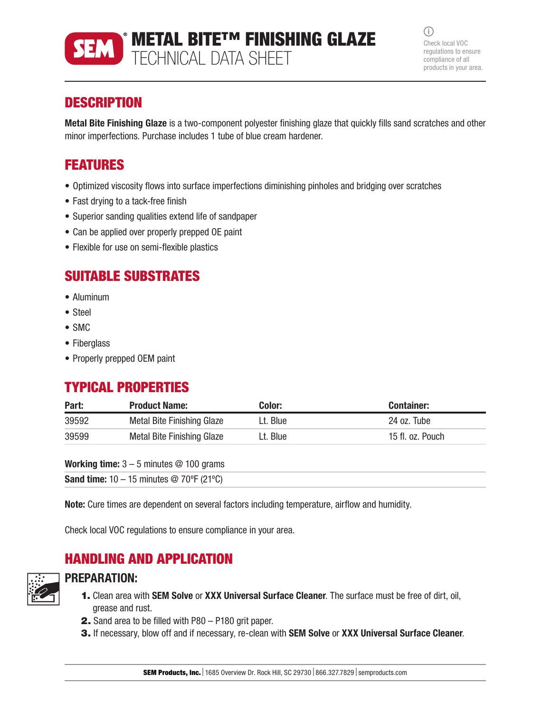

METAL BITE™ FINISHING GLAZE SEM TECHNICAL DATA SHEET

 $(i)$ Check local VOC regulations to ensure compliance of all products in your area.

# **DESCRIPTION**

Metal Bite Finishing Glaze is a two-component polyester finishing glaze that quickly fills sand scratches and other minor imperfections. Purchase includes 1 tube of blue cream hardener.

# FEATURES

- Optimized viscosity flows into surface imperfections diminishing pinholes and bridging over scratches
- Fast drying to a tack-free finish
- Superior sanding qualities extend life of sandpaper
- Can be applied over properly prepped OE paint
- Flexible for use on semi-flexible plastics

## SUITABLE SUBSTRATES

- Aluminum
- Steel
- SMC
- Fiberglass
- Properly prepped OEM paint

# TYPICAL PROPERTIES

| Part: | <b>Product Name:</b>              | Color:   | <b>Container:</b> |
|-------|-----------------------------------|----------|-------------------|
| 39592 | <b>Metal Bite Finishing Glaze</b> | Lt. Blue | 24 oz. Tube       |
| 39599 | <b>Metal Bite Finishing Glaze</b> | Lt. Blue | 15 fl. oz. Pouch  |

**Working time:**  $3 - 5$  minutes  $@$  100 grams

**Sand time:**  $10 - 15$  minutes @ 70°F (21°C)

Note: Cure times are dependent on several factors including temperature, airflow and humidity.

Check local VOC regulations to ensure compliance in your area.

## HANDLING AND APPLICATION



#### PREPARATION:

- 1. Clean area with SEM Solve or XXX Universal Surface Cleaner. The surface must be free of dirt, oil, grease and rust.
- 2. Sand area to be filled with P80 P180 grit paper.
- 3. If necessary, blow off and if necessary, re-clean with SEM Solve or XXX Universal Surface Cleaner.